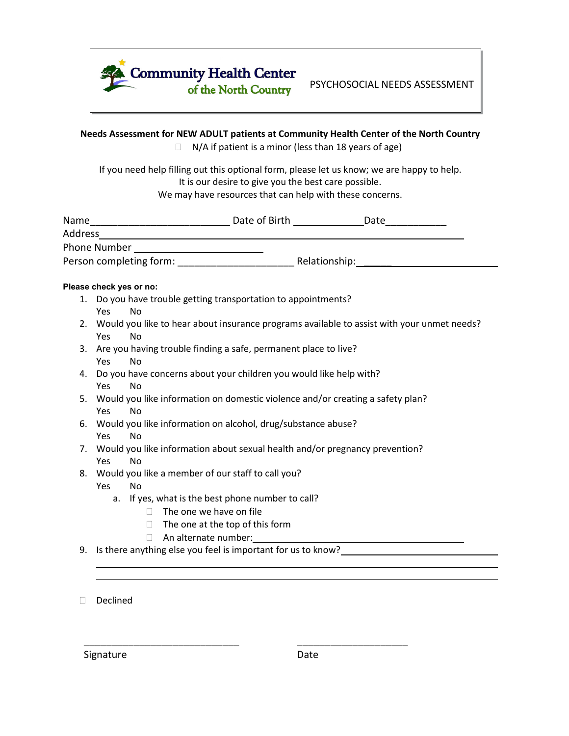

PSYCHOSOCIAL NEEDS ASSESSMENT

## **Needs Assessment for NEW ADULT patients at Community Health Center of the North Country**

 $\Box$  N/A if patient is a minor (less than 18 years of age)

If you need help filling out this optional form, please let us know; we are happy to help. It is our desire to give you the best care possible. We may have resources that can help with these concerns.

| Name                    | Date of Birth | Date          |  |
|-------------------------|---------------|---------------|--|
| Address                 |               |               |  |
| Phone Number            |               |               |  |
| Person completing form: |               | Relationship: |  |

## Please check yes or no:

- 1. Do you have trouble getting transportation to appointments? Yes No
- 2. Would you like to hear about insurance programs available to assist with your unmet needs? Yes No
- 3. Are you having trouble finding a safe, permanent place to live? Yes No
- 4. Do you have concerns about your children you would like help with? Yes No
- 5. Would you like information on domestic violence and/or creating a safety plan? Yes No
- 6. Would you like information on alcohol, drug/substance abuse? Yes No
- 7. Would you like information about sexual health and/or pregnancy prevention? Yes No

\_\_\_\_\_\_\_\_\_\_\_\_\_\_\_\_\_\_\_\_\_\_\_\_\_\_\_\_ \_\_\_\_\_\_\_\_\_\_\_\_\_\_\_\_\_\_\_\_

- 8. Would you like a member of our staff to call you?
	- Yes No
		- a. If yes, what is the best phone number to call?
			- $\Box$  The one we have on file
			- $\Box$  The one at the top of this form
			- An alternate number:
- 9. Is there anything else you feel is important for us to know?

Declined